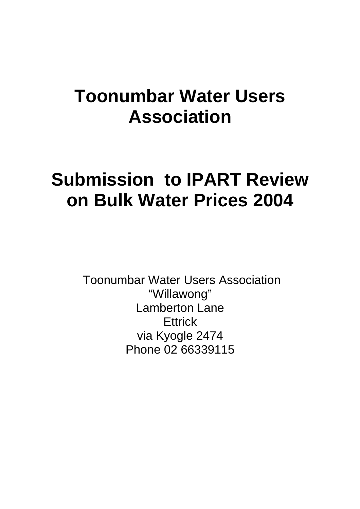## **Toonumbar Water Users Association**

# **Submission to IPART Review on Bulk Water Prices 2004**

 Toonumbar Water Users Association "Willawong" Lamberton Lane **Ettrick** via Kyogle 2474 Phone 02 66339115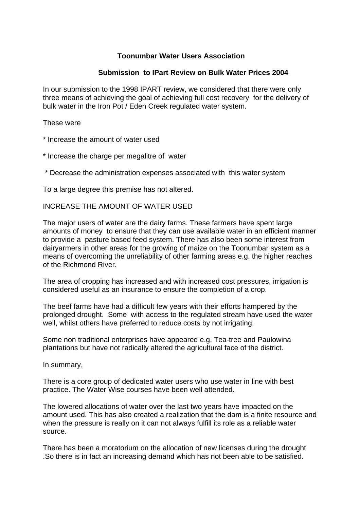## **Toonumbar Water Users Association**

#### **Submission to IPart Review on Bulk Water Prices 2004**

In our submission to the 1998 IPART review, we considered that there were only three means of achieving the goal of achieving full cost recovery for the delivery of bulk water in the Iron Pot / Eden Creek regulated water system.

These were

- \* Increase the amount of water used
- \* Increase the charge per megalitre of water

\* Decrease the administration expenses associated with this water system

To a large degree this premise has not altered.

#### INCREASE THE AMOUNT OF WATER USED

The major users of water are the dairy farms. These farmers have spent large amounts of money to ensure that they can use available water in an efficient manner to provide a pasture based feed system. There has also been some interest from dairyarmers in other areas for the growing of maize on the Toonumbar system as a means of overcoming the unreliability of other farming areas e.g. the higher reaches of the Richmond River.

The area of cropping has increased and with increased cost pressures, irrigation is considered useful as an insurance to ensure the completion of a crop.

The beef farms have had a difficult few years with their efforts hampered by the prolonged drought. Some with access to the regulated stream have used the water well, whilst others have preferred to reduce costs by not irrigating.

Some non traditional enterprises have appeared e.g. Tea-tree and Paulowina plantations but have not radically altered the agricultural face of the district.

In summary,

There is a core group of dedicated water users who use water in line with best practice. The Water Wise courses have been well attended.

The lowered allocations of water over the last two years have impacted on the amount used. This has also created a realization that the dam is a finite resource and when the pressure is really on it can not always fulfill its role as a reliable water source.

There has been a moratorium on the allocation of new licenses during the drought .So there is in fact an increasing demand which has not been able to be satisfied.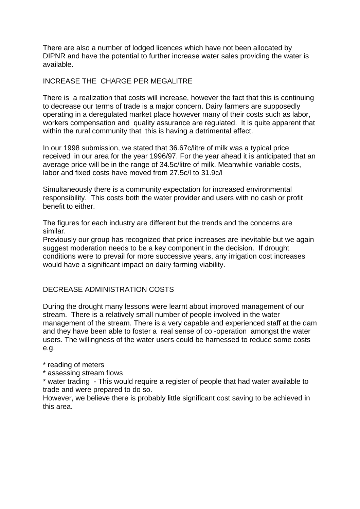There are also a number of lodged licences which have not been allocated by DIPNR and have the potential to further increase water sales providing the water is available.

## INCREASE THE CHARGE PER MEGALITRE

There is a realization that costs will increase, however the fact that this is continuing to decrease our terms of trade is a major concern. Dairy farmers are supposedly operating in a deregulated market place however many of their costs such as labor, workers compensation and quality assurance are regulated. It is quite apparent that within the rural community that this is having a detrimental effect.

In our 1998 submission, we stated that 36.67c/litre of milk was a typical price received in our area for the year 1996/97. For the year ahead it is anticipated that an average price will be in the range of 34.5c/litre of milk. Meanwhile variable costs, labor and fixed costs have moved from 27.5c/l to 31.9c/l

Simultaneously there is a community expectation for increased environmental responsibility. This costs both the water provider and users with no cash or profit benefit to either.

The figures for each industry are different but the trends and the concerns are similar.

Previously our group has recognized that price increases are inevitable but we again suggest moderation needs to be a key component in the decision. If drought conditions were to prevail for more successive years, any irrigation cost increases would have a significant impact on dairy farming viability.

## DECREASE ADMINISTRATION COSTS

During the drought many lessons were learnt about improved management of our stream. There is a relatively small number of people involved in the water management of the stream. There is a very capable and experienced staff at the dam and they have been able to foster a real sense of co -operation amongst the water users. The willingness of the water users could be harnessed to reduce some costs e.g.

\* reading of meters

\* assessing stream flows

\* water trading - This would require a register of people that had water available to trade and were prepared to do so.

However, we believe there is probably little significant cost saving to be achieved in this area.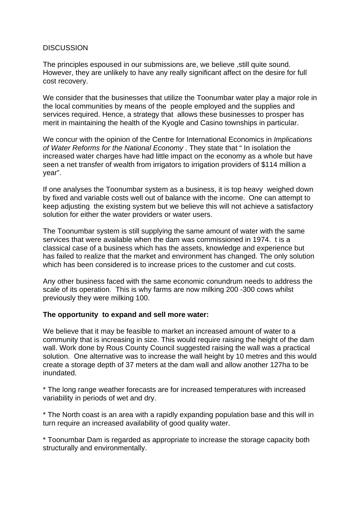### **DISCUSSION**

The principles espoused in our submissions are, we believe ,still quite sound. However, they are unlikely to have any really significant affect on the desire for full cost recovery.

We consider that the businesses that utilize the Toonumbar water play a major role in the local communities by means of the people employed and the supplies and services required. Hence, a strategy that allows these businesses to prosper has merit in maintaining the health of the Kyogle and Casino townships in particular.

We concur with the opinion of the Centre for International Economics in *Implications of Water Reforms for the National Economy* . They state that " In isolation the increased water charges have had little impact on the economy as a whole but have seen a net transfer of wealth from irrigators to irrigation providers of \$114 million a year".

If one analyses the Toonumbar system as a business, it is top heavy weighed down by fixed and variable costs well out of balance with the income. One can attempt to keep adjusting the existing system but we believe this will not achieve a satisfactory solution for either the water providers or water users.

The Toonumbar system is still supplying the same amount of water with the same services that were available when the dam was commissioned in 1974. t is a classical case of a business which has the assets, knowledge and experience but has failed to realize that the market and environment has changed. The only solution which has been considered is to increase prices to the customer and cut costs.

Any other business faced with the same economic conundrum needs to address the scale of its operation. This is why farms are now milking 200 -300 cows whilst previously they were milking 100.

## **The opportunity to expand and sell more water:**

We believe that it may be feasible to market an increased amount of water to a community that is increasing in size. This would require raising the height of the dam wall. Work done by Rous County Council suggested raising the wall was a practical solution. One alternative was to increase the wall height by 10 metres and this would create a storage depth of 37 meters at the dam wall and allow another 127ha to be inundated.

\* The long range weather forecasts are for increased temperatures with increased variability in periods of wet and dry.

\* The North coast is an area with a rapidly expanding population base and this will in turn require an increased availability of good quality water.

\* Toonumbar Dam is regarded as appropriate to increase the storage capacity both structurally and environmentally.